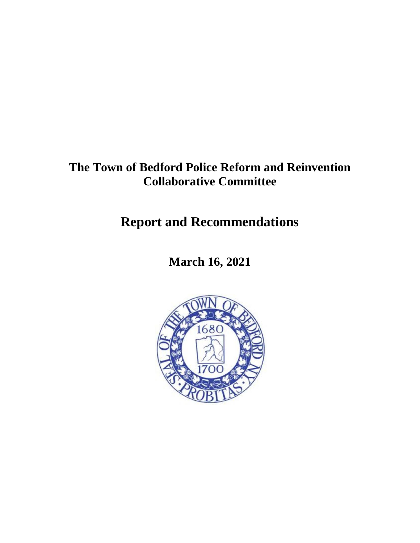## **The Town of Bedford Police Reform and Reinvention Collaborative Committee**

# **Report and Recommendations**

**March 16, 2021**

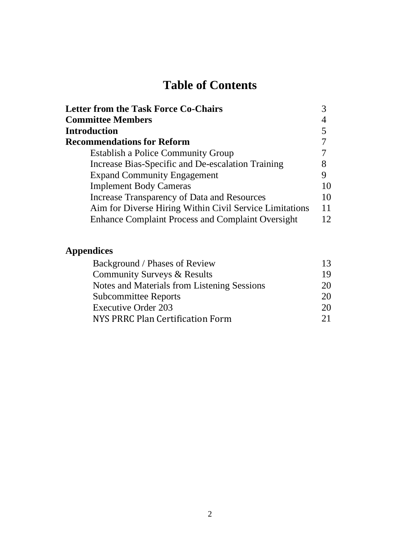# **Table of Contents**

| <b>Letter from the Task Force Co-Chairs</b>              |    |
|----------------------------------------------------------|----|
| <b>Committee Members</b>                                 |    |
| Introduction                                             |    |
| <b>Recommendations for Reform</b>                        |    |
| <b>Establish a Police Community Group</b>                |    |
| Increase Bias-Specific and De-escalation Training        |    |
| <b>Expand Community Engagement</b>                       |    |
| <b>Implement Body Cameras</b>                            | 10 |
| <b>Increase Transparency of Data and Resources</b>       | 10 |
| Aim for Diverse Hiring Within Civil Service Limitations  | 11 |
| <b>Enhance Complaint Process and Complaint Oversight</b> | 12 |

## **Appendices**

| Background / Phases of Review               | 13 |
|---------------------------------------------|----|
| <b>Community Surveys &amp; Results</b>      | 19 |
| Notes and Materials from Listening Sessions | 20 |
| <b>Subcommittee Reports</b>                 | 20 |
| <b>Executive Order 203</b>                  | 20 |
| NYS PRRC Plan Certification Form            | 21 |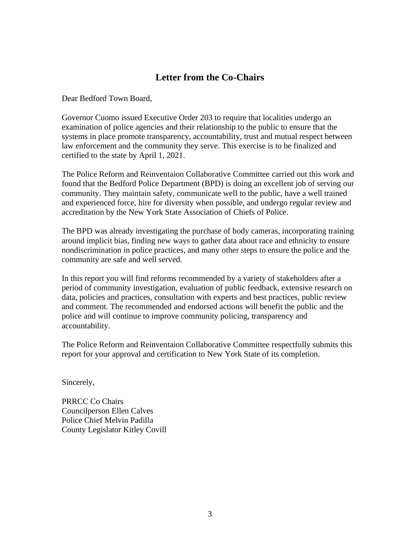### **Letter from the Co-Chairs**

Dear Bedford Town Board,

Governor Cuomo issued Executive Order 203 to require that localities undergo an examination of police agencies and their relationship to the public to ensure that the systems in place promote transparency, accountability, trust and mutual respect between law enforcement and the community they serve. This exercise is to be finalized and certified to the state by April 1, 2021.

The Police Reform and Reinventaion Collaborative Committee carried out this work and found that the Bedford Police Department (BPD) is doing an excellent job of serving our community. They maintain safety, communicate well to the public, have a well trained and experienced force, hire for diversity when possible, and undergo regular review and accreditation by the New York State Association of Chiefs of Police.

The BPD was already investigating the purchase of body cameras, incorporating training around implicit bias, finding new ways to gather data about race and ethnicity to ensure nondiscrimination in police practices, and many other steps to ensure the police and the community are safe and well served.

In this report you will find reforms recommended by a variety of stakeholders after a period of community investigation, evaluation of public feedback, extensive research on data, policies and practices, consultation with experts and best practices, public review and comment. The recommended and endorsed actions will benefit the public and the police and will continue to improve community policing, transparency and accountability.

The Police Reform and Reinventaion Collaborative Committee respectfully submits this report for your approval and certification to New York State of its completion.

Sincerely,

PRRCC Co Chairs Councilperson Ellen Calves Police Chief Melvin Padilla County Legislator Kitley Covill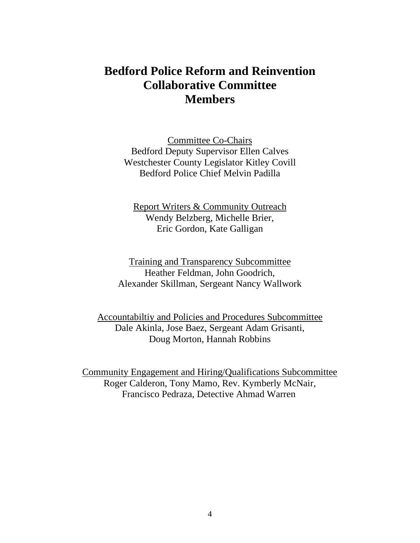## **Bedford Police Reform and Reinvention Collaborative Committee Members**

Committee Co-Chairs Bedford Deputy Supervisor Ellen Calves Westchester County Legislator Kitley Covill Bedford Police Chief Melvin Padilla

Report Writers & Community Outreach Wendy Belzberg, Michelle Brier, Eric Gordon, Kate Galligan

Training and Transparency Subcommittee Heather Feldman, John Goodrich, Alexander Skillman, Sergeant Nancy Wallwork

Accountabiltiy and Policies and Procedures Subcommittee Dale Akinla, Jose Baez, Sergeant Adam Grisanti, Doug Morton, Hannah Robbins

Community Engagement and Hiring/Qualifications Subcommittee Roger Calderon, Tony Mamo, Rev. Kymberly McNair, Francisco Pedraza, Detective Ahmad Warren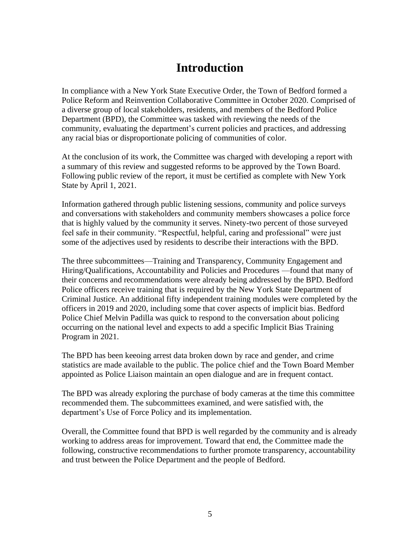## **Introduction**

In compliance with a New York State Executive Order, the Town of Bedford formed a Police Reform and Reinvention Collaborative Committee in October 2020. Comprised of a diverse group of local stakeholders, residents, and members of the Bedford Police Department (BPD), the Committee was tasked with reviewing the needs of the community, evaluating the department's current policies and practices, and addressing any racial bias or disproportionate policing of communities of color.

At the conclusion of its work, the Committee was charged with developing a report with a summary of this review and suggested reforms to be approved by the Town Board. Following public review of the report, it must be certified as complete with New York State by April 1, 2021.

Information gathered through public listening sessions, community and police surveys and conversations with stakeholders and community members showcases a police force that is highly valued by the community it serves. Ninety-two percent of those surveyed feel safe in their community. "Respectful, helpful, caring and professional" were just some of the adjectives used by residents to describe their interactions with the BPD.

The three subcommittees—Training and Transparency, Community Engagement and Hiring/Qualifications, Accountability and Policies and Procedures —found that many of their concerns and recommendations were already being addressed by the BPD. Bedford Police officers receive training that is required by the New York State Department of Criminal Justice. An additional fifty independent training modules were completed by the officers in 2019 and 2020, including some that cover aspects of implicit bias. Bedford Police Chief Melvin Padilla was quick to respond to the conversation about policing occurring on the national level and expects to add a specific Implicit Bias Training Program in 2021.

The BPD has been keeoing arrest data broken down by race and gender, and crime statistics are made available to the public. The police chief and the Town Board Member appointed as Police Liaison maintain an open dialogue and are in frequent contact.

The BPD was already exploring the purchase of body cameras at the time this committee recommended them. The subcommittees examined, and were satisfied with, the department's Use of Force Policy and its implementation.

Overall, the Committee found that BPD is well regarded by the community and is already working to address areas for improvement. Toward that end, the Committee made the following, constructive recommendations to further promote transparency, accountability and trust between the Police Department and the people of Bedford.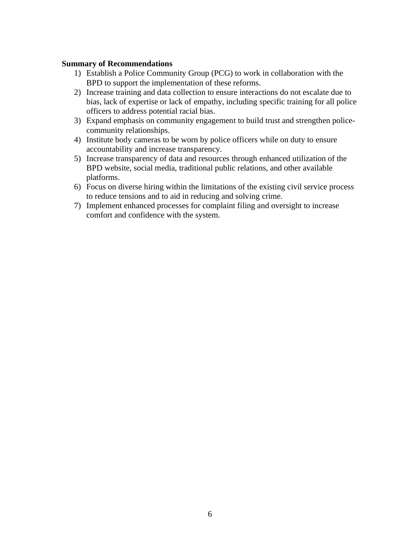#### **Summary of Recommendations**

- 1) Establish a Police Community Group (PCG) to work in collaboration with the BPD to support the implementation of these reforms.
- 2) Increase training and data collection to ensure interactions do not escalate due to bias, lack of expertise or lack of empathy, including specific training for all police officers to address potential racial bias.
- 3) Expand emphasis on community engagement to build trust and strengthen policecommunity relationships.
- 4) Institute body cameras to be worn by police officers while on duty to ensure accountability and increase transparency.
- 5) Increase transparency of data and resources through enhanced utilization of the BPD website, social media, traditional public relations, and other available platforms.
- 6) Focus on diverse hiring within the limitations of the existing civil service process to reduce tensions and to aid in reducing and solving crime.
- 7) Implement enhanced processes for complaint filing and oversight to increase comfort and confidence with the system.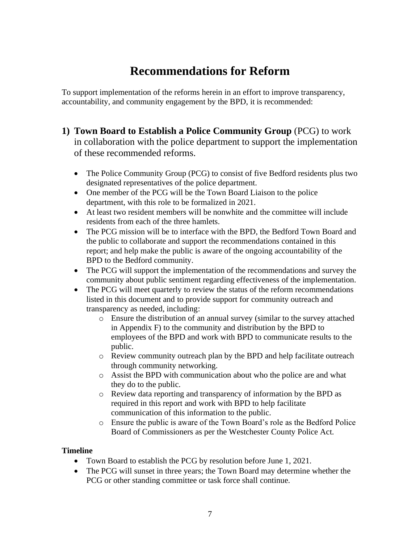## **Recommendations for Reform**

To support implementation of the reforms herein in an effort to improve transparency, accountability, and community engagement by the BPD, it is recommended:

- **1) Town Board to Establish a Police Community Group** (PCG) to work in collaboration with the police department to support the implementation of these recommended reforms.
	- The Police Community Group (PCG) to consist of five Bedford residents plus two designated representatives of the police department.
	- One member of the PCG will be the Town Board Liaison to the police department, with this role to be formalized in 2021.
	- At least two resident members will be nonwhite and the committee will include residents from each of the three hamlets.
	- The PCG mission will be to interface with the BPD, the Bedford Town Board and the public to collaborate and support the recommendations contained in this report; and help make the public is aware of the ongoing accountability of the BPD to the Bedford community.
	- The PCG will support the implementation of the recommendations and survey the community about public sentiment regarding effectiveness of the implementation.
	- The PCG will meet quarterly to review the status of the reform recommendations listed in this document and to provide support for community outreach and transparency as needed, including:
		- o Ensure the distribution of an annual survey (similar to the survey attached in Appendix F) to the community and distribution by the BPD to employees of the BPD and work with BPD to communicate results to the public.
		- o Review community outreach plan by the BPD and help facilitate outreach through community networking.
		- o Assist the BPD with communication about who the police are and what they do to the public.
		- o Review data reporting and transparency of information by the BPD as required in this report and work with BPD to help facilitate communication of this information to the public.
		- o Ensure the public is aware of the Town Board's role as the Bedford Police Board of Commissioners as per the Westchester County Police Act.

### **Timeline**

- Town Board to establish the PCG by resolution before June 1, 2021.
- The PCG will sunset in three years; the Town Board may determine whether the PCG or other standing committee or task force shall continue.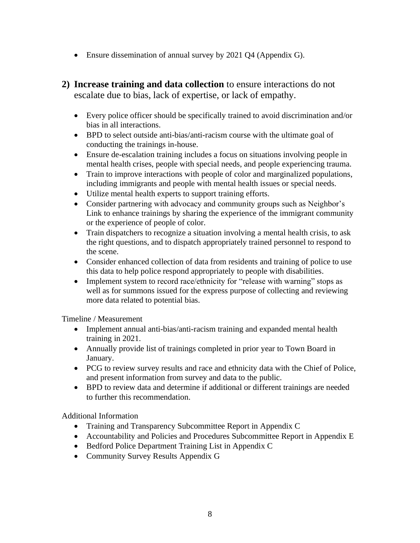• Ensure dissemination of annual survey by 2021 Q4 (Appendix G).

### **2) Increase training and data collection** to ensure interactions do not escalate due to bias, lack of expertise, or lack of empathy.

- Every police officer should be specifically trained to avoid discrimination and/or bias in all interactions.
- BPD to select outside anti-bias/anti-racism course with the ultimate goal of conducting the trainings in-house.
- Ensure de-escalation training includes a focus on situations involving people in mental health crises, people with special needs, and people experiencing trauma.
- Train to improve interactions with people of color and marginalized populations, including immigrants and people with mental health issues or special needs.
- Utilize mental health experts to support training efforts.
- Consider partnering with advocacy and community groups such as Neighbor's Link to enhance trainings by sharing the experience of the immigrant community or the experience of people of color.
- Train dispatchers to recognize a situation involving a mental health crisis, to ask the right questions, and to dispatch appropriately trained personnel to respond to the scene.
- Consider enhanced collection of data from residents and training of police to use this data to help police respond appropriately to people with disabilities.
- Implement system to record race/ethnicity for "release with warning" stops as well as for summons issued for the express purpose of collecting and reviewing more data related to potential bias.

Timeline / Measurement

- Implement annual anti-bias/anti-racism training and expanded mental health training in 2021.
- Annually provide list of trainings completed in prior year to Town Board in January.
- PCG to review survey results and race and ethnicity data with the Chief of Police, and present information from survey and data to the public.
- BPD to review data and determine if additional or different trainings are needed to further this recommendation.

Additional Information

- Training and Transparency Subcommittee Report in Appendix C
- Accountability and Policies and Procedures Subcommittee Report in Appendix E
- Bedford Police Department Training List in Appendix C
- Community Survey Results Appendix G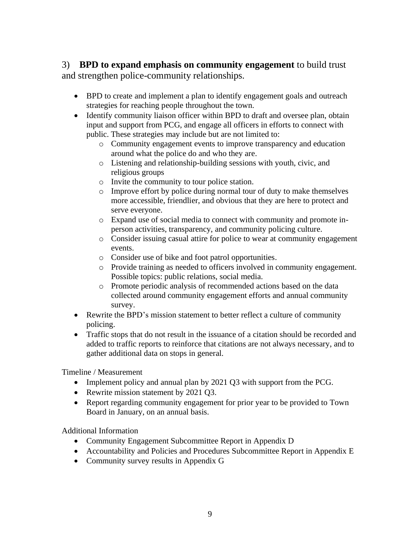### 3) **BPD to expand emphasis on community engagement** to build trust and strengthen police-community relationships.

- BPD to create and implement a plan to identify engagement goals and outreach strategies for reaching people throughout the town.
- Identify community liaison officer within BPD to draft and oversee plan, obtain input and support from PCG, and engage all officers in efforts to connect with public. These strategies may include but are not limited to:
	- o Community engagement events to improve transparency and education around what the police do and who they are.
	- o Listening and relationship-building sessions with youth, civic, and religious groups
	- o Invite the community to tour police station.
	- o Improve effort by police during normal tour of duty to make themselves more accessible, friendlier, and obvious that they are here to protect and serve everyone.
	- o Expand use of social media to connect with community and promote inperson activities, transparency, and community policing culture.
	- o Consider issuing casual attire for police to wear at community engagement events.
	- o Consider use of bike and foot patrol opportunities.
	- o Provide training as needed to officers involved in community engagement. Possible topics: public relations, social media.
	- o Promote periodic analysis of recommended actions based on the data collected around community engagement efforts and annual community survey.
- Rewrite the BPD's mission statement to better reflect a culture of community policing.
- Traffic stops that do not result in the issuance of a citation should be recorded and added to traffic reports to reinforce that citations are not always necessary, and to gather additional data on stops in general.

Timeline / Measurement

- Implement policy and annual plan by 2021 Q3 with support from the PCG.
- Rewrite mission statement by 2021 Q3.
- Report regarding community engagement for prior year to be provided to Town Board in January, on an annual basis.

Additional Information

- Community Engagement Subcommittee Report in Appendix D
- Accountability and Policies and Procedures Subcommittee Report in Appendix E
- Community survey results in Appendix G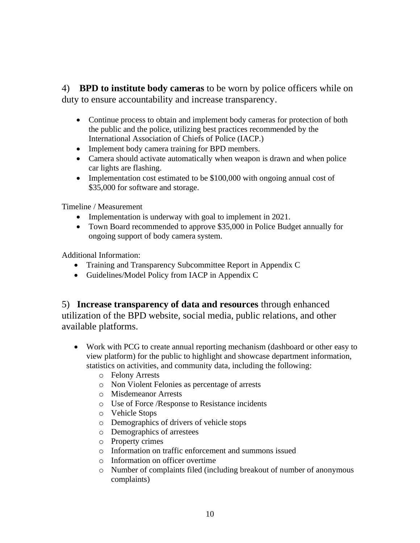4) **BPD to institute body cameras** to be worn by police officers while on duty to ensure accountability and increase transparency.

- Continue process to obtain and implement body cameras for protection of both the public and the police, utilizing best practices recommended by the International Association of Chiefs of Police (IACP.)
- Implement body camera training for BPD members.
- Camera should activate automatically when weapon is drawn and when police car lights are flashing.
- Implementation cost estimated to be \$100,000 with ongoing annual cost of \$35,000 for software and storage.

Timeline / Measurement

- Implementation is underway with goal to implement in 2021.
- Town Board recommended to approve \$35,000 in Police Budget annually for ongoing support of body camera system.

Additional Information:

- Training and Transparency Subcommittee Report in Appendix C
- Guidelines/Model Policy from IACP in Appendix C

5) **Increase transparency of data and resources** through enhanced utilization of the BPD website, social media, public relations, and other available platforms.

- Work with PCG to create annual reporting mechanism (dashboard or other easy to view platform) for the public to highlight and showcase department information, statistics on activities, and community data, including the following:
	- o Felony Arrests
	- o Non Violent Felonies as percentage of arrests
	- o Misdemeanor Arrests
	- o Use of Force /Response to Resistance incidents
	- o Vehicle Stops
	- o Demographics of drivers of vehicle stops
	- o Demographics of arrestees
	- o Property crimes
	- o Information on traffic enforcement and summons issued
	- o Information on officer overtime
	- o Number of complaints filed (including breakout of number of anonymous complaints)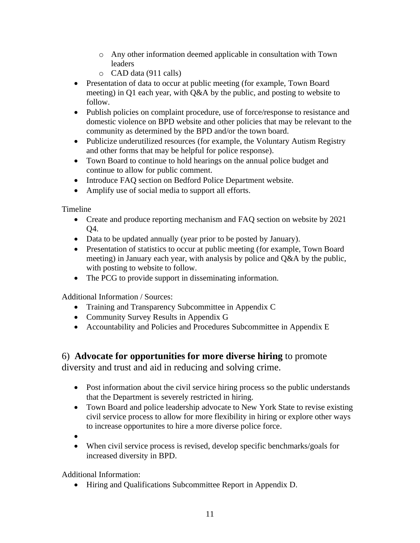- o Any other information deemed applicable in consultation with Town leaders
- o CAD data (911 calls)
- Presentation of data to occur at public meeting (for example, Town Board meeting) in Q1 each year, with Q&A by the public, and posting to website to follow.
- Publish policies on complaint procedure, use of force/response to resistance and domestic violence on BPD website and other policies that may be relevant to the community as determined by the BPD and/or the town board.
- Publicize underutilized resources (for example, the Voluntary Autism Registry and other forms that may be helpful for police response).
- Town Board to continue to hold hearings on the annual police budget and continue to allow for public comment.
- Introduce FAQ section on Bedford Police Department website.
- Amplify use of social media to support all efforts.

Timeline

- Create and produce reporting mechanism and FAQ section on website by 2021 Q4.
- Data to be updated annually (year prior to be posted by January).
- Presentation of statistics to occur at public meeting (for example, Town Board meeting) in January each year, with analysis by police and Q&A by the public, with posting to website to follow.
- The PCG to provide support in disseminating information.

Additional Information / Sources:

- Training and Transparency Subcommittee in Appendix C
- Community Survey Results in Appendix G
- Accountability and Policies and Procedures Subcommittee in Appendix E

6) **Advocate for opportunities for more diverse hiring** to promote

diversity and trust and aid in reducing and solving crime.

- Post information about the civil service hiring process so the public understands that the Department is severely restricted in hiring.
- Town Board and police leadership advocate to New York State to revise existing civil service process to allow for more flexibility in hiring or explore other ways to increase opportunites to hire a more diverse police force.
- •
- When civil service process is revised, develop specific benchmarks/goals for increased diversity in BPD.

Additional Information:

• Hiring and Qualifications Subcommittee Report in Appendix D.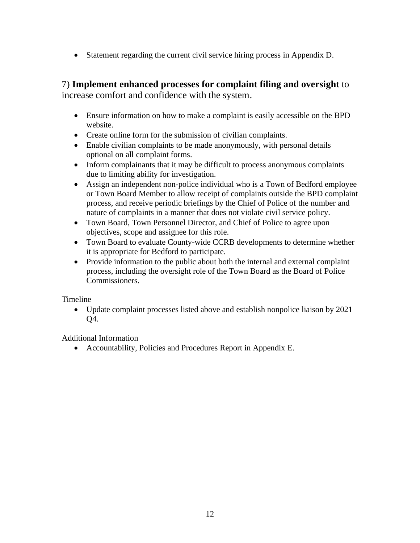• Statement regarding the current civil service hiring process in Appendix D.

### 7) **Implement enhanced processes for complaint filing and oversight** to increase comfort and confidence with the system.

- Ensure information on how to make a complaint is easily accessible on the BPD website.
- Create online form for the submission of civilian complaints.
- Enable civilian complaints to be made anonymously, with personal details optional on all complaint forms.
- Inform complainants that it may be difficult to process anonymous complaints due to limiting ability for investigation.
- Assign an independent non-police individual who is a Town of Bedford employee or Town Board Member to allow receipt of complaints outside the BPD complaint process, and receive periodic briefings by the Chief of Police of the number and nature of complaints in a manner that does not violate civil service policy.
- Town Board, Town Personnel Director, and Chief of Police to agree upon objectives, scope and assignee for this role.
- Town Board to evaluate County-wide CCRB developments to determine whether it is appropriate for Bedford to participate.
- Provide information to the public about both the internal and external complaint process, including the oversight role of the Town Board as the Board of Police Commissioners.

Timeline

• Update complaint processes listed above and establish nonpolice liaison by 2021 Q4.

Additional Information

• Accountability, Policies and Procedures Report in Appendix E.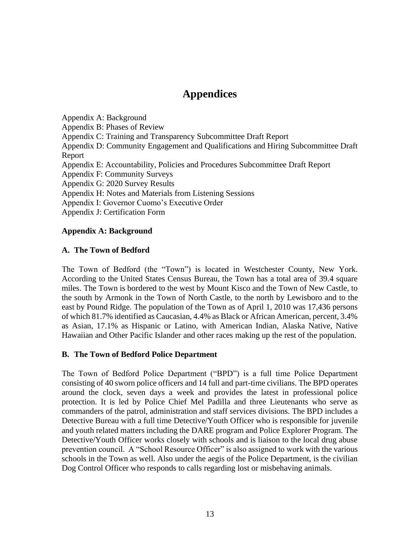## **Appendices**

Appendix A: Background Appendix B: Phases of Review Appendix C: Training and Transparency Subcommittee Draft Report Appendix D: Community Engagement and Qualifications and Hiring Subcommittee Draft Report Appendix E: Accountability, Policies and Procedures Subcommittee Draft Report Appendix F: Community Surveys Appendix G: 2020 Survey Results Appendix H: Notes and Materials from Listening Sessions Appendix I: Governor Cuomo's Executive Order Appendix J: Certification Form

#### **Appendix A: Background**

#### **A. The Town of Bedford**

The Town of Bedford (the "Town") is located in Westchester County, New York. According to the United States Census Bureau, the Town has a total area of 39.4 square miles. The Town is bordered to the west by Mount Kisco and the Town of New Castle, to the south by Armonk in the Town of North Castle, to the north by Lewisboro and to the east by Pound Ridge. The population of the Town as of April 1, 2010 was 17,436 persons of which 81.7% identified as Caucasian, 4.4% as Black or African American, percent, 3.4% as Asian, 17.1% as Hispanic or Latino, with American Indian, Alaska Native, Native Hawaiian and Other Pacific Islander and other races making up the rest of the population.

#### **B. The Town of Bedford Police Department**

The Town of Bedford Police Department ("BPD") is a full time Police Department consisting of 40 sworn police officers and 14 full and part-time civilians. The BPD operates around the clock, seven days a week and provides the latest in professional police protection. It is led by Police Chief Mel Padilla and three Lieutenants who serve as commanders of the patrol, administration and staff services divisions. The BPD includes a Detective Bureau with a full time Detective/Youth Officer who is responsible for juvenile and youth related matters including the DARE program and Police Explorer Program. The Detective/Youth Officer works closely with schools and is liaison to the local drug abuse prevention council. A "School Resource Officer" is also assigned to work with the various schools in the Town as well. Also under the aegis of the Police Department, is the civilian Dog Control Officer who responds to calls regarding lost or misbehaving animals.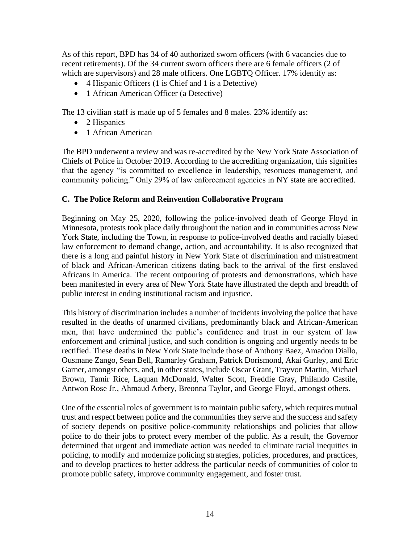As of this report, BPD has 34 of 40 authorized sworn officers (with 6 vacancies due to recent retirements). Of the 34 current sworn officers there are 6 female officers (2 of which are supervisors) and 28 male officers. One LGBTQ Officer. 17% identify as:

- 4 Hispanic Officers (1 is Chief and 1 is a Detective)
- 1 African American Officer (a Detective)

The 13 civilian staff is made up of 5 females and 8 males. 23% identify as:

- 2 Hispanics
- 1 African American

The BPD underwent a review and was re-accredited by the New York State Association of Chiefs of Police in October 2019. According to the accrediting organization, this signifies that the agency "is committed to excellence in leadership, resoruces management, and community policing." Only 29% of law enforcement agencies in NY state are accredited.

#### **C. The Police Reform and Reinvention Collaborative Program**

Beginning on May 25, 2020, following the police-involved death of George Floyd in Minnesota, protests took place daily throughout the nation and in communities across New York State, including the Town, in response to police-involved deaths and racially biased law enforcement to demand change, action, and accountability. It is also recognized that there is a long and painful history in New York State of discrimination and mistreatment of black and African-American citizens dating back to the arrival of the first enslaved Africans in America. The recent outpouring of protests and demonstrations, which have been manifested in every area of New York State have illustrated the depth and breadth of public interest in ending institutional racism and injustice.

This history of discrimination includes a number of incidents involving the police that have resulted in the deaths of unarmed civilians, predominantly black and African-American men, that have undermined the public's confidence and trust in our system of law enforcement and criminal justice, and such condition is ongoing and urgently needs to be rectified. These deaths in New York State include those of Anthony Baez, Amadou Diallo, Ousmane Zango, Sean Bell, Ramarley Graham, Patrick Dorismond, Akai Gurley, and Eric Garner, amongst others, and, in other states, include Oscar Grant, Trayvon Martin, Michael Brown, Tamir Rice, Laquan McDonald, Walter Scott, Freddie Gray, Philando Castile, Antwon Rose Jr., Ahmaud Arbery, Breonna Taylor, and George Floyd, amongst others.

One of the essential roles of government is to maintain public safety, which requires mutual trust and respect between police and the communities they serve and the success and safety of society depends on positive police-community relationships and policies that allow police to do their jobs to protect every member of the public. As a result, the Governor determined that urgent and immediate action was needed to eliminate racial inequities in policing, to modify and modernize policing strategies, policies, procedures, and practices, and to develop practices to better address the particular needs of communities of color to promote public safety, improve community engagement, and foster trust.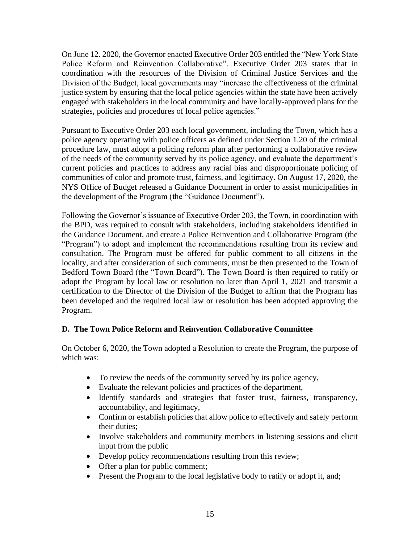On June 12. 2020, the Governor enacted Executive Order 203 entitled the "New York State Police Reform and Reinvention Collaborative". Executive Order 203 states that in coordination with the resources of the Division of Criminal Justice Services and the Division of the Budget, local governments may "increase the effectiveness of the criminal justice system by ensuring that the local police agencies within the state have been actively engaged with stakeholders in the local community and have locally-approved plans for the strategies, policies and procedures of local police agencies."

Pursuant to Executive Order 203 each local government, including the Town, which has a police agency operating with police officers as defined under Section 1.20 of the criminal procedure law, must adopt a policing reform plan after performing a collaborative review of the needs of the community served by its police agency, and evaluate the department's current policies and practices to address any racial bias and disproportionate policing of communities of color and promote trust, fairness, and legitimacy. On August 17, 2020, the NYS Office of Budget released a Guidance Document in order to assist municipalities in the development of the Program (the "Guidance Document").

Following the Governor's issuance of Executive Order 203, the Town, in coordination with the BPD, was required to consult with stakeholders, including stakeholders identified in the Guidance Document, and create a Police Reinvention and Collaborative Program (the "Program") to adopt and implement the recommendations resulting from its review and consultation. The Program must be offered for public comment to all citizens in the locality, and after consideration of such comments, must be then presented to the Town of Bedford Town Board (the "Town Board"). The Town Board is then required to ratify or adopt the Program by local law or resolution no later than April 1, 2021 and transmit a certification to the Director of the Division of the Budget to affirm that the Program has been developed and the required local law or resolution has been adopted approving the Program.

#### **D. The Town Police Reform and Reinvention Collaborative Committee**

On October 6, 2020, the Town adopted a Resolution to create the Program, the purpose of which was:

- To review the needs of the community served by its police agency,
- Evaluate the relevant policies and practices of the department,
- Identify standards and strategies that foster trust, fairness, transparency, accountability, and legitimacy,
- Confirm or establish policies that allow police to effectively and safely perform their duties;
- Involve stakeholders and community members in listening sessions and elicit input from the public
- Develop policy recommendations resulting from this review;
- Offer a plan for public comment;
- Present the Program to the local legislative body to ratify or adopt it, and;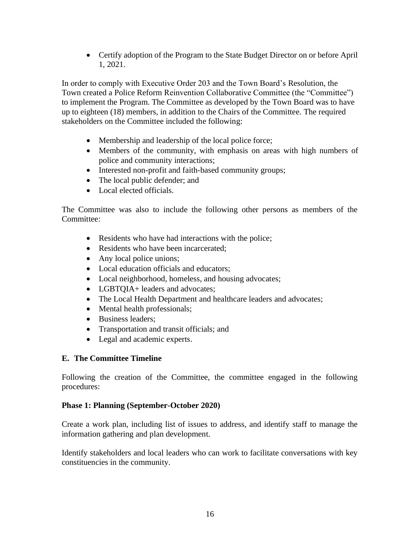• Certify adoption of the Program to the State Budget Director on or before April 1, 2021.

In order to comply with Executive Order 203 and the Town Board's Resolution, the Town created a Police Reform Reinvention Collaborative Committee (the "Committee") to implement the Program. The Committee as developed by the Town Board was to have up to eighteen (18) members, in addition to the Chairs of the Committee. The required stakeholders on the Committee included the following:

- Membership and leadership of the local police force;
- Members of the community, with emphasis on areas with high numbers of police and community interactions;
- Interested non-profit and faith-based community groups;
- The local public defender; and
- Local elected officials.

The Committee was also to include the following other persons as members of the Committee:

- Residents who have had interactions with the police;
- Residents who have been incarcerated:
- Any local police unions;
- Local education officials and educators;
- Local neighborhood, homeless, and housing advocates;
- LGBTQIA+ leaders and advocates;
- The Local Health Department and healthcare leaders and advocates;
- Mental health professionals;
- Business leaders;
- Transportation and transit officials; and
- Legal and academic experts.

#### **E. The Committee Timeline**

Following the creation of the Committee, the committee engaged in the following procedures:

#### **Phase 1: Planning (September-October 2020)**

Create a work plan, including list of issues to address, and identify staff to manage the information gathering and plan development.

Identify stakeholders and local leaders who can work to facilitate conversations with key constituencies in the community.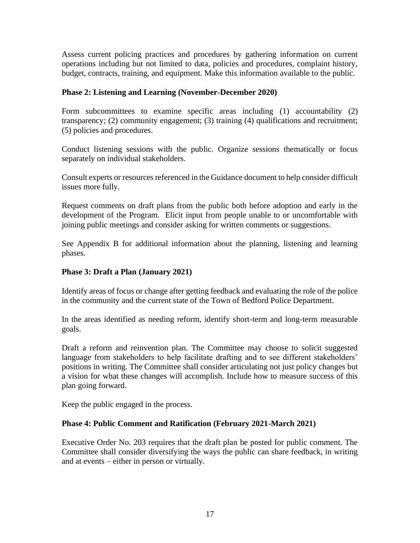Assess current policing practices and procedures by gathering information on current operations including but not limited to data, policies and procedures, complaint history, budget, contracts, training, and equipment. Make this information available to the public.

#### **Phase 2: Listening and Learning (November-December 2020)**

Form subcommittees to examine specific areas including (1) accountability (2) transparency; (2) community engagement; (3) training (4) qualifications and recruitment; (5) policies and procedures.

Conduct listening sessions with the public. Organize sessions thematically or focus separately on individual stakeholders.

Consult experts or resources referenced in the Guidance document to help consider difficult issues more fully.

Request comments on draft plans from the public both before adoption and early in the development of the Program. Elicit input from people unable to or uncomfortable with joining public meetings and consider asking for written comments or suggestions.

See Appendix B for additional information about the planning, listening and learning phases.

#### **Phase 3: Draft a Plan (January 2021)**

Identify areas of focus or change after getting feedback and evaluating the role of the police in the community and the current state of the Town of Bedford Police Department.

In the areas identified as needing reform, identify short-term and long-term measurable goals.

Draft a reform and reinvention plan. The Committee may choose to solicit suggested language from stakeholders to help facilitate drafting and to see different stakeholders' positions in writing. The Committee shall consider articulating not just policy changes but a vision for what these changes will accomplish. Include how to measure success of this plan going forward.

Keep the public engaged in the process.

#### **Phase 4: Public Comment and Ratification (February 2021-March 2021)**

Executive Order No. 203 requires that the draft plan be posted for public comment. The Committee shall consider diversifying the ways the public can share feedback, in writing and at events – either in person or virtually.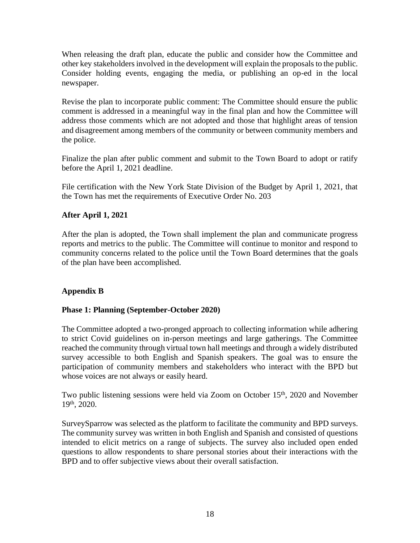When releasing the draft plan, educate the public and consider how the Committee and other key stakeholders involved in the development will explain the proposals to the public. Consider holding events, engaging the media, or publishing an op-ed in the local newspaper.

Revise the plan to incorporate public comment: The Committee should ensure the public comment is addressed in a meaningful way in the final plan and how the Committee will address those comments which are not adopted and those that highlight areas of tension and disagreement among members of the community or between community members and the police.

Finalize the plan after public comment and submit to the Town Board to adopt or ratify before the April 1, 2021 deadline.

File certification with the New York State Division of the Budget by April 1, 2021, that the Town has met the requirements of Executive Order No. 203

#### **After April 1, 2021**

After the plan is adopted, the Town shall implement the plan and communicate progress reports and metrics to the public. The Committee will continue to monitor and respond to community concerns related to the police until the Town Board determines that the goals of the plan have been accomplished.

#### **Appendix B**

#### **Phase 1: Planning (September-October 2020)**

The Committee adopted a two-pronged approach to collecting information while adhering to strict Covid guidelines on in-person meetings and large gatherings. The Committee reached the community through virtual town hall meetings and through a widely distributed survey accessible to both English and Spanish speakers. The goal was to ensure the participation of community members and stakeholders who interact with the BPD but whose voices are not always or easily heard.

Two public listening sessions were held via Zoom on October 15<sup>th</sup>, 2020 and November 19th, 2020.

SurveySparrow was selected as the platform to facilitate the community and BPD surveys. The community survey was written in both English and Spanish and consisted of questions intended to elicit metrics on a range of subjects. The survey also included open ended questions to allow respondents to share personal stories about their interactions with the BPD and to offer subjective views about their overall satisfaction.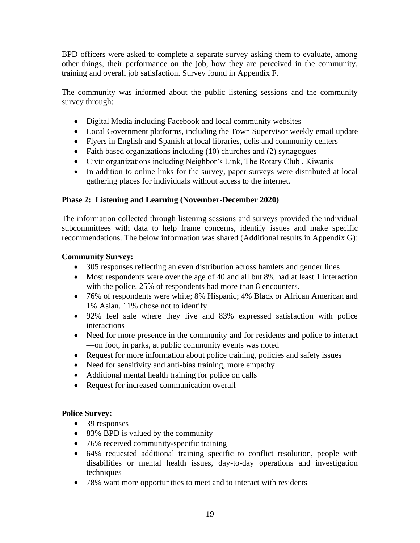BPD officers were asked to complete a separate survey asking them to evaluate, among other things, their performance on the job, how they are perceived in the community, training and overall job satisfaction. Survey found in Appendix F.

The community was informed about the public listening sessions and the community survey through:

- Digital Media including Facebook and local community websites
- Local Government platforms, including the Town Supervisor weekly email update
- Flyers in English and Spanish at local libraries, delis and community centers
- Faith based organizations including (10) churches and (2) synagogues
- Civic organizations including Neighbor's Link, The Rotary Club , Kiwanis
- In addition to online links for the survey, paper surveys were distributed at local gathering places for individuals without access to the internet.

#### **Phase 2: Listening and Learning (November-December 2020)**

The information collected through listening sessions and surveys provided the individual subcommittees with data to help frame concerns, identify issues and make specific recommendations. The below information was shared (Additional results in Appendix G):

#### **Community Survey:**

- 305 responses reflecting an even distribution across hamlets and gender lines
- Most respondents were over the age of 40 and all but 8% had at least 1 interaction with the police. 25% of respondents had more than 8 encounters.
- 76% of respondents were white; 8% Hispanic; 4% Black or African American and 1% Asian. 11% chose not to identify
- 92% feel safe where they live and 83% expressed satisfaction with police interactions
- Need for more presence in the community and for residents and police to interact —on foot, in parks, at public community events was noted
- Request for more information about police training, policies and safety issues
- Need for sensitivity and anti-bias training, more empathy
- Additional mental health training for police on calls
- Request for increased communication overall

#### **Police Survey:**

- 39 responses
- 83% BPD is valued by the community
- 76% received community-specific training
- 64% requested additional training specific to conflict resolution, people with disabilities or mental health issues, day-to-day operations and investigation techniques
- 78% want more opportunities to meet and to interact with residents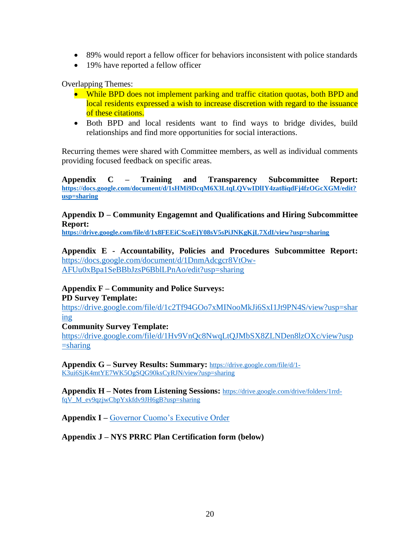- 89% would report a fellow officer for behaviors inconsistent with police standards
- 19% have reported a fellow officer

Overlapping Themes:

- While BPD does not implement parking and traffic citation quotas, both BPD and local residents expressed a wish to increase discretion with regard to the issuance of these citations.
- Both BPD and local residents want to find ways to bridge divides, build relationships and find more opportunities for social interactions.

Recurring themes were shared with Committee members, as well as individual comments providing focused feedback on specific areas.

**Appendix C – Training and Transparency Subcommittee Report: [https://docs.google.com/document/d/1sHMi9DcqM6X3LtqLQVwIDlIY4zat8iqdFj4fzOGcXGM/edit?](https://docs.google.com/document/d/1sHMi9DcqM6X3LtqLQVwIDlIY4zat8iqdFj4fzOGcXGM/edit?usp=sharing) [usp=sharing](https://docs.google.com/document/d/1sHMi9DcqM6X3LtqLQVwIDlIY4zat8iqdFj4fzOGcXGM/edit?usp=sharing)**

#### **Appendix D – Community Engagemnt and Qualifications and Hiring Subcommittee Report:**

**<https://drive.google.com/file/d/1x8FEEiCScoEjY08sV5sPiJNKgKjL7XdI/view?usp=sharing>**

**Appendix E - Accountability, Policies and Procedures Subcommittee Report:**  [https://docs.google.com/document/d/1DnmAdcgcr8VtOw-](https://docs.google.com/document/d/1DnmAdcgcr8VtOw-AFUu0xBpa1SeBBbJzsP6BblLPnAo/edit?usp=sharing)[AFUu0xBpa1SeBBbJzsP6BblLPnAo/edit?usp=sharing](https://docs.google.com/document/d/1DnmAdcgcr8VtOw-AFUu0xBpa1SeBBbJzsP6BblLPnAo/edit?usp=sharing)

#### **Appendix F – Community and Police Surveys: PD Survey Template:**

[https://drive.google.com/file/d/1c2Tf94GOo7xMINooMkJi6SxI1Jt9PN4S/view?usp=shar](https://drive.google.com/file/d/1c2Tf94GOo7xMINooMkJi6SxI1Jt9PN4S/view?usp=sharing) [ing](https://drive.google.com/file/d/1c2Tf94GOo7xMINooMkJi6SxI1Jt9PN4S/view?usp=sharing)

#### **Community Survey Template:**

[https://drive.google.com/file/d/1Hv9VnQc8NwqLtQJMbSX8ZLNDen8lzOXc/view?usp](https://drive.google.com/file/d/1Hv9VnQc8NwqLtQJMbSX8ZLNDen8lzOXc/view?usp=sharing)  $=$ sharing

**Appendix G – Survey Results: Summary:** [https://drive.google.com/file/d/1-](https://drive.google.com/file/d/1-K3ui6SjK4mtYE7WK5OgSQG90ksCyRJN/view?usp=sharing) [K3ui6SjK4mtYE7WK5OgSQG90ksCyRJN/view?usp=sharing](https://drive.google.com/file/d/1-K3ui6SjK4mtYE7WK5OgSQG90ksCyRJN/view?usp=sharing)

**Appendix H – Notes from Listening Sessions:** [https://drive.google.com/drive/folders/1rrd](https://drive.google.com/drive/folders/1rrd-fqV_M_ev9qzjwCbpYxkfdv9JH6gB?usp=sharing)[fqV\\_M\\_ev9qzjwCbpYxkfdv9JH6gB?usp=sharing](https://drive.google.com/drive/folders/1rrd-fqV_M_ev9qzjwCbpYxkfdv9JH6gB?usp=sharing)

**Appendix I –** [Governor Cuomo's Executive Order](https://www.governor.ny.gov/sites/governor.ny.gov/files/atoms/files/GAMC_Reimagine_Policing_Letter.pdf)

**Appendix J – NYS PRRC Plan Certification form (below)**